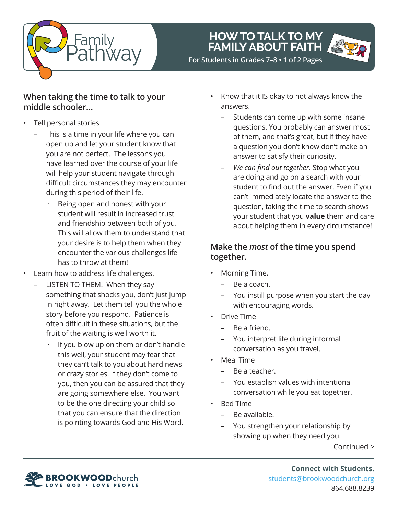

## **HOW TO TALK TO MY FAMILY ABOUT FAITH**



 **For Students in Grades 7–8 • 1 of 2 Pages**

### **When taking the time to talk to your middle schooler…**

- Tell personal stories
	- This is a time in your life where you can open up and let your student know that you are not perfect. The lessons you have learned over the course of your life will help your student navigate through difficult circumstances they may encounter during this period of their life.
		- Being open and honest with your student will result in increased trust and friendship between both of you. This will allow them to understand that your desire is to help them when they encounter the various challenges life has to throw at them!
- Learn how to address life challenges.
	- LISTEN TO THEM! When they say something that shocks you, don't just jump in right away. Let them tell you the whole story before you respond. Patience is often difficult in these situations, but the fruit of the waiting is well worth it.
		- If you blow up on them or don't handle this well, your student may fear that they can't talk to you about hard news or crazy stories. If they don't come to you, then you can be assured that they are going somewhere else. You want to be the one directing your child so that you can ensure that the direction is pointing towards God and His Word.
- Know that it IS okay to not always know the answers.
	- Students can come up with some insane questions. You probably can answer most of them, and that's great, but if they have a question you don't know don't make an answer to satisfy their curiosity.
	- *We can find out together.* Stop what you are doing and go on a search with your student to find out the answer. Even if you can't immediately locate the answer to the question, taking the time to search shows your student that you **value** them and care about helping them in every circumstance!

### **Make the** *most* **of the time you spend together.**

- Morning Time.
	- Be a coach.
	- You instill purpose when you start the day with encouraging words.
- Drive Time
	- Be a friend.
	- You interpret life during informal conversation as you travel.
- Meal Time
	- Be a teacher.
	- You establish values with intentional conversation while you eat together.
- Bed Time
	- Be available.
	- You strengthen your relationship by showing up when they need you.

Continued >



**Connect with Students.** students@brookwoodchurch.org 864.688.8239